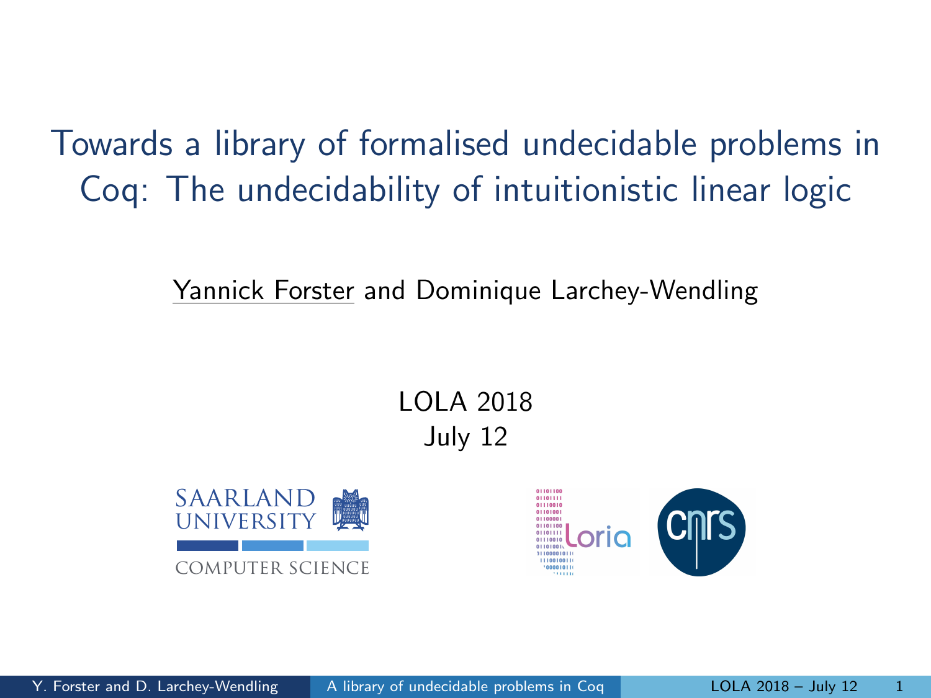<span id="page-0-0"></span>Towards a library of formalised undecidable problems in Coq: The undecidability of intuitionistic linear logic

Yannick Forster and Dominique Larchey-Wendling

LOLA 2018 July 12



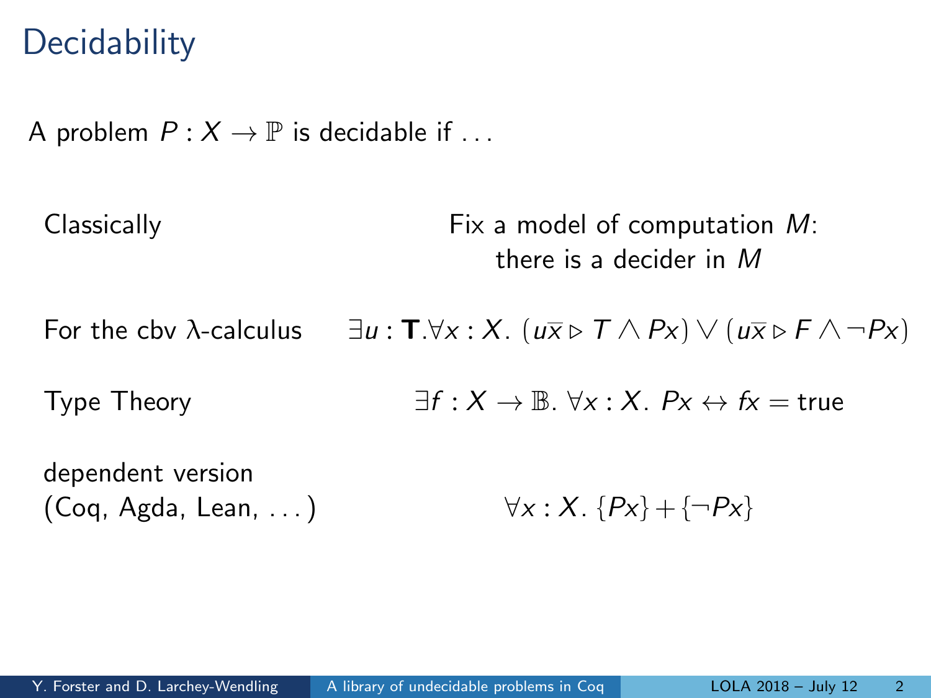### **Decidability**

A problem  $P: X \to \mathbb{P}$  is decidable if ...

Classically Fix a model of computation M: there is a decider in M For the cbv  $\lambda$ -calculus  $\exists u : \mathbf{T} \forall x : X$ .  $(u \overline{x} \triangleright T \wedge Px) \vee (u \overline{x} \triangleright F \wedge \neg Px)$ Type Theory  $\exists f : X \to \mathbb{B}$ .  $\forall x : X$ .  $Px \leftrightarrow fx = true$ dependent version (Coq, Agda, Lean, ...)  $\forall x : X. \{Px\} + \{\neg Px\}$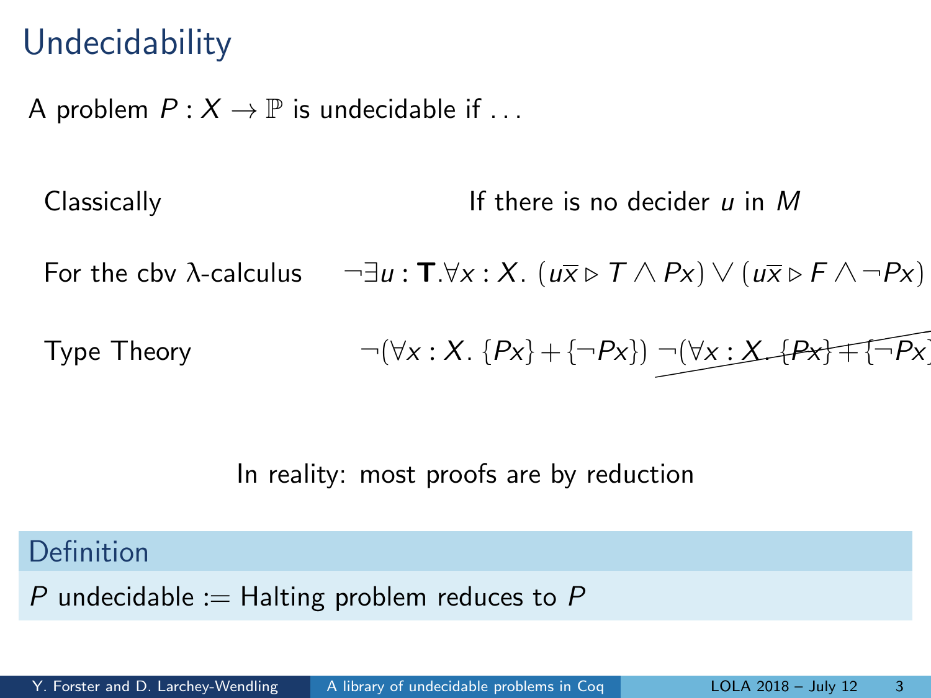## **Undecidability**

A problem  $P: X \to \mathbb{P}$  is undecidable if ...

Classically  $\Box$  If there is no decider u in M For the cbv  $\lambda$ -calculus  $\neg \exists u : \mathbf{T}.\forall x : X$ .  $(u\overline{x} \triangleright T \wedge Px) \vee (u\overline{x} \triangleright F \wedge \neg Px)$ Type Theory  $\neg(\forall x : X. \{Px\} + \{\neg Px\}) \neg(\forall x : X \bot Px \} \mp \{\neg \widetilde{Px}\})$ 

In reality: most proofs are by reduction

Definition

P undecidable := Halting problem reduces to P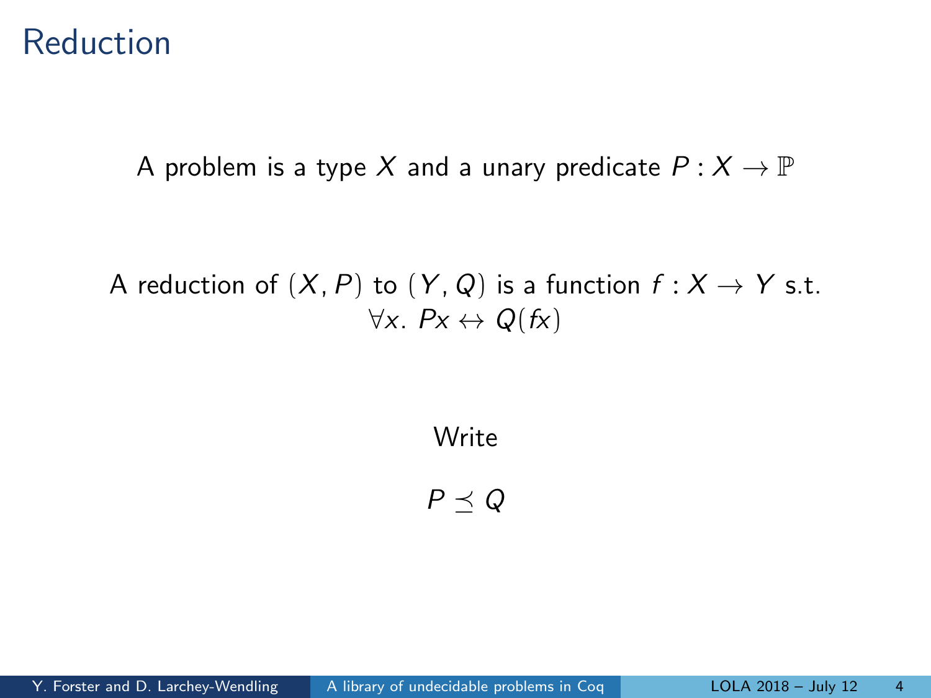#### Reduction

A problem is a type X and a unary predicate  $P: X \to \mathbb{P}$ 

A reduction of  $(X, P)$  to  $(Y, Q)$  is a function  $f : X \to Y$  s.t.  $\forall x. \; P x \leftrightarrow Q(f x)$ 

Write

 $P \prec Q$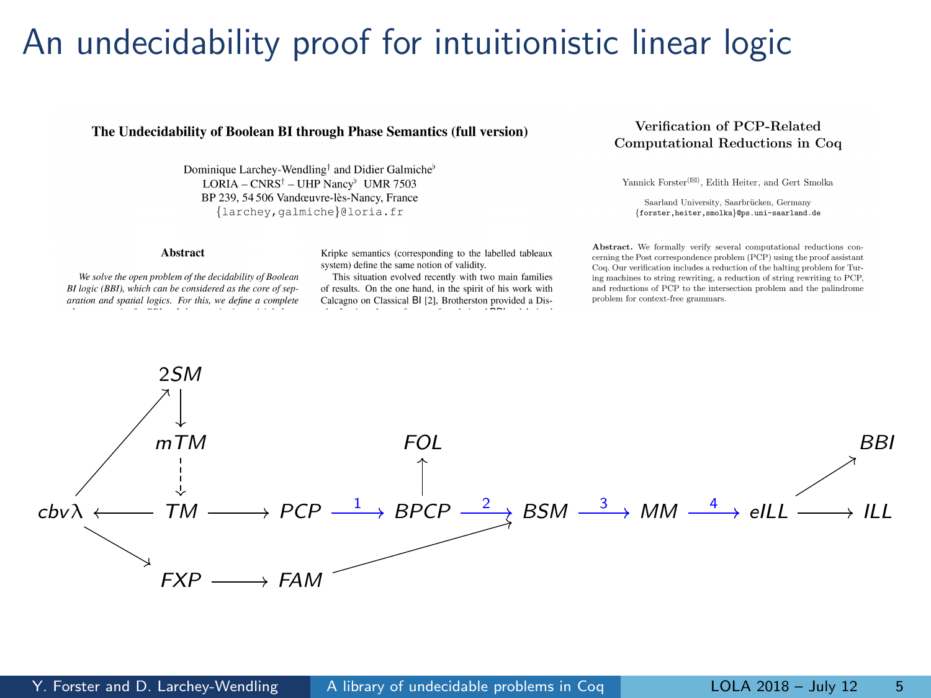### An undecidability proof for intuitionistic linear logic

#### The Undecidability of Boolean BI through Phase Semantics (full version)

Dominique Larchev-Wendling<sup>†</sup> and Didier Galmiche<sup>b</sup> LORIA - CNRS<sup>†</sup> - UHP Nancy<sup>b</sup> UMR 7503 BP 239, 54 506 Vandœuvre-lès-Nancy, France {larchey, galmiche}@loria.fr

#### Verification of PCP-Related Computational Reductions in Coq

Yannick Forster<sup>(SS)</sup>, Edith Heiter, and Gert Smolka

Saarland University, Saarbrücken, Germany {forster.heiter.smolka}@ps.uni-saarland.de

#### Abstract

Kripke semantics (corresponding to the labelled tableaux system) define the same notion of validity.

We solve the open problem of the decidability of Boolean BI logic (BBI), which can be considered as the core of separation and spatial logics. For this, we define a complete 1. . . . . . . .

This situation evolved recently with two main families of results. On the one hand, in the spirit of his work with Calcagno on Classical BI [2], Brotherston provided a Disa shi ne na matalo na matamata na n

Abstract. We formally verify several computational reductions concerning the Post correspondence problem (PCP) using the proof assistant Coq. Our verification includes a reduction of the halting problem for Turing machines to string rewriting, a reduction of string rewriting to PCP. and reductions of PCP to the intersection problem and the palindrome problem for context-free grammars.

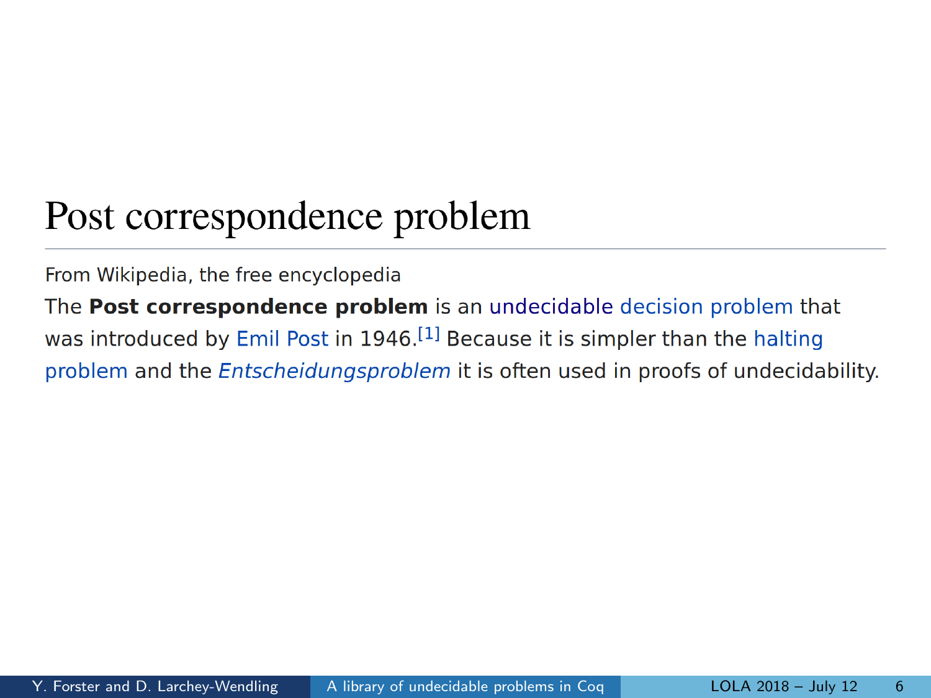## Post correspondence problem

#### From Wikipedia, the free encyclopedia

The Post correspondence problem is an undecidable decision problem that was introduced by Emil Post in 1946.<sup>[1]</sup> Because it is simpler than the halting problem and the *Entscheidungsproblem* it is often used in proofs of undecidability.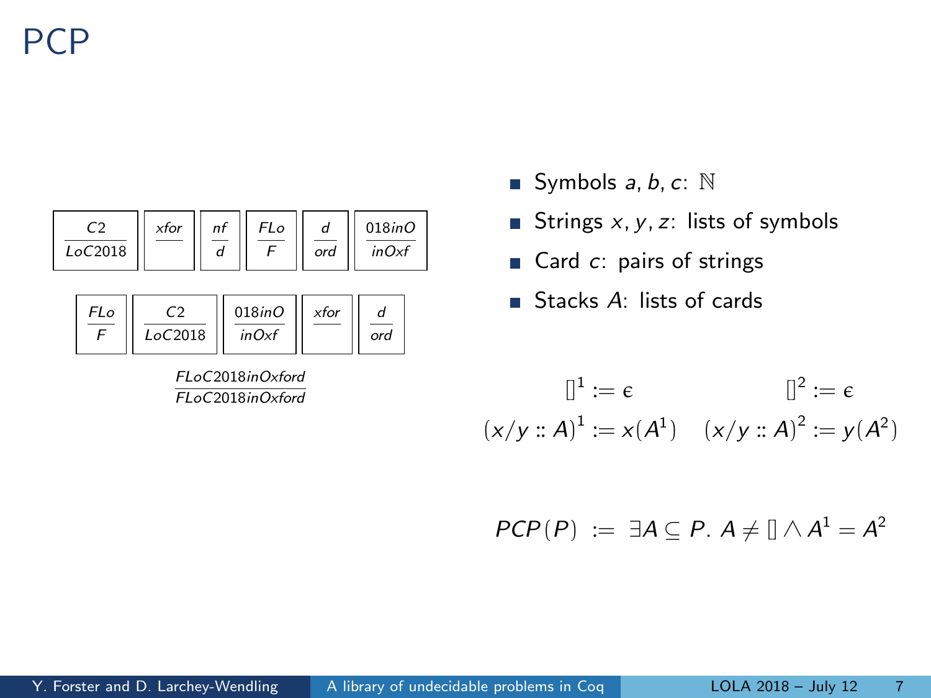PCP



FLoC2018inOxford

- Symbols  $a, b, c: \mathbb{N}$
- Strings  $x, y, z$ : lists of symbols
- Card  $c$ : pairs of strings
- Stacks  $A$ : lists of cards

$$
\mathbb{I}^{1} := \epsilon \qquad \mathbb{I}^{2} := \epsilon
$$

$$
(x/y :: A)^{1} := x(A^{1}) \quad (x/y :: A)^{2} := y(A^{2})
$$

$$
PCP(P) := \exists A \subseteq P. A \neq [] \wedge A^1 = A^2
$$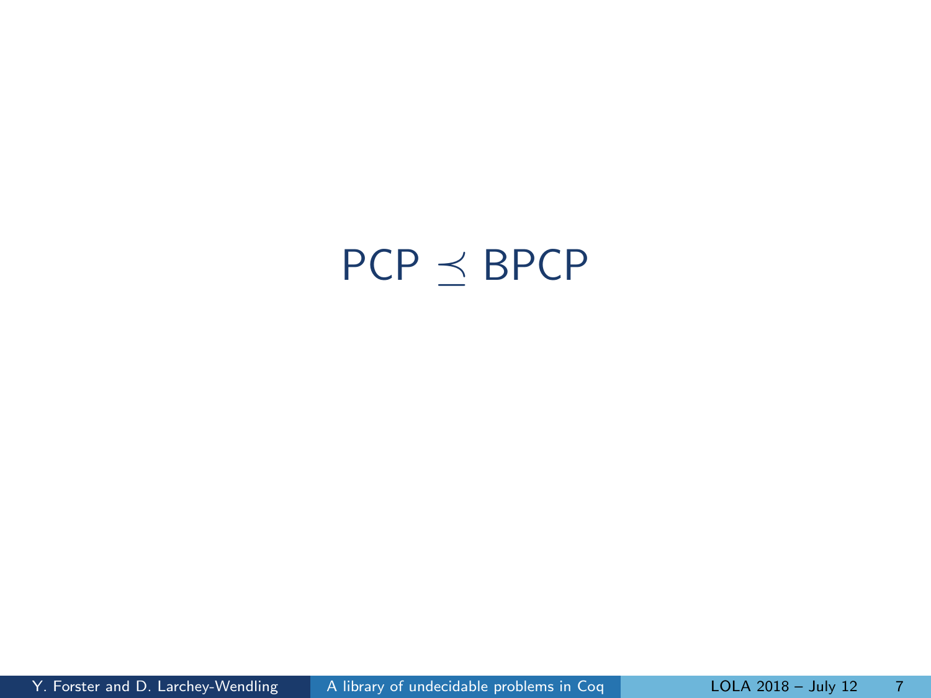# <span id="page-7-0"></span> $PCP \preceq BPCP$  $PCP \preceq BPCP$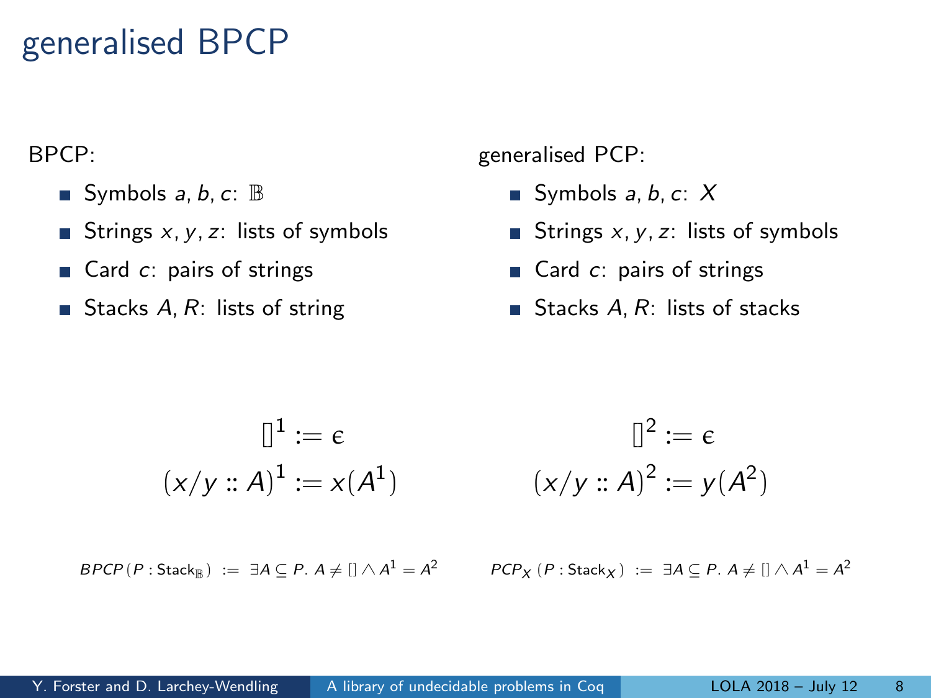### generalised BPCP

BPCP:

- Symbols  $a, b, c$ :  $\mathbb{B}$
- Strings  $x, y, z$ : lists of symbols
- $\blacksquare$  Card  $c$ : pairs of strings
- Stacks  $A, R$ : lists of string

generalised PCP:

- Symbols  $a, b, c: X$
- Strings  $x, y, z$ : lists of symbols
- Gard  $c$ : pairs of strings
- Stacks  $A, R$ : lists of stacks

$$
\mathbb{I}^{1} := \epsilon \qquad \qquad \mathbb{I}^{2} := \epsilon
$$

$$
(x/y :: A)^{1} := x(A^{1}) \qquad (x/y :: A)^{2} := y(A^{2})
$$

 $\mathsf{BPCP}(P:\mathsf{Stack}_{\mathbb{B}}) \;:=\; \exists A\subseteq P.\; A \neq [] \land A^1 = A$ 

$$
PCP_X(P:Stack_X) := \exists A \subseteq P. A \neq [] \wedge A^1 = A^2
$$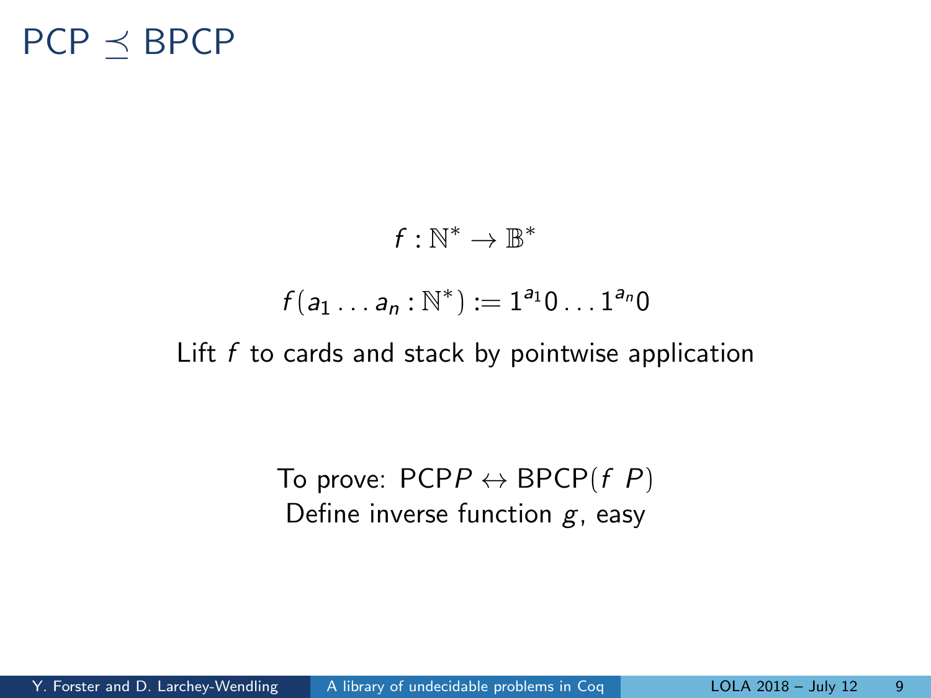### $PCP \prec BPCP$

#### $f:\mathbb{N}^*\to\mathbb{B}^*$

#### $f(a_1 \ldots a_n : \mathbb{N}^*) := 1^{a_1} 0 \ldots 1^{a_n} 0$

Lift  $f$  to cards and stack by pointwise application

To prove:  $PCPP \leftrightarrow BPCP(f, P)$ Define inverse function  $g$ , easy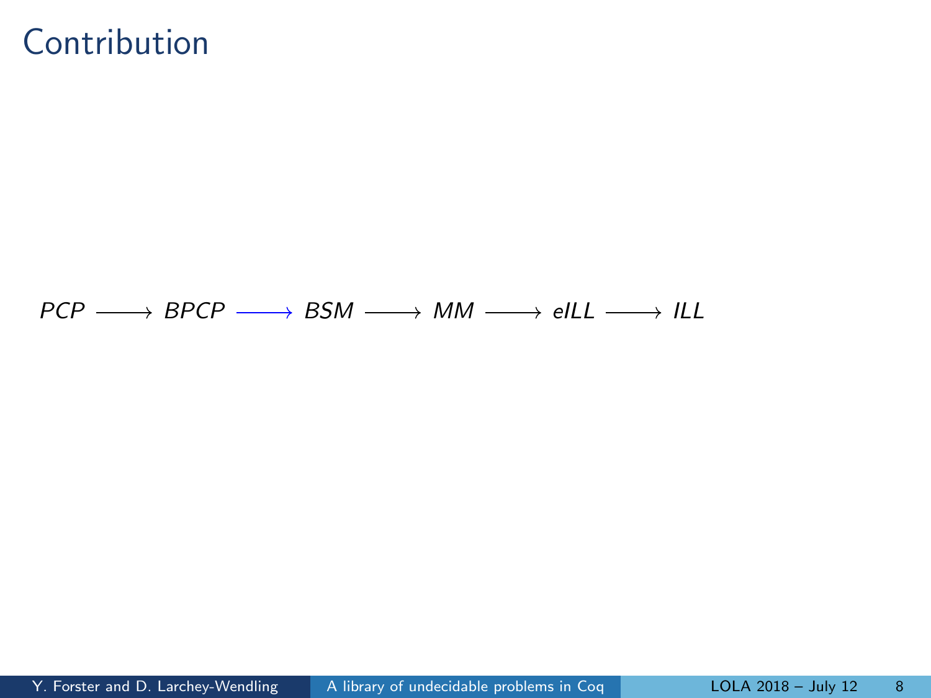#### Contribution

 $PCP \longrightarrow BPCP \longrightarrow BSM \longrightarrow MM \longrightarrow ellL \longrightarrow lLL$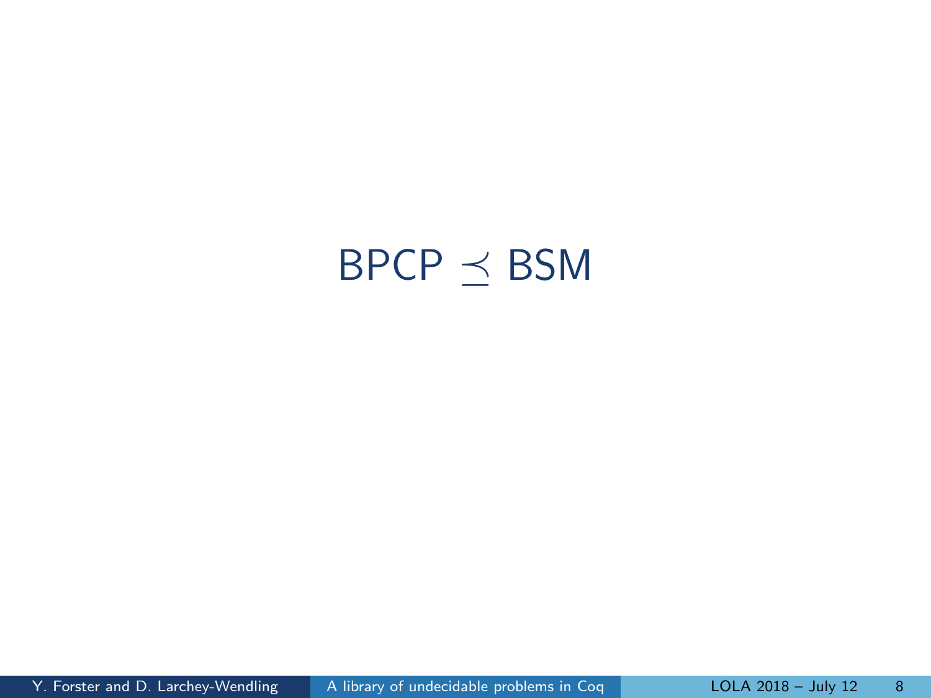# <span id="page-11-0"></span> $\mathsf{BPCP} \preceq \mathsf{BSM}$  $\mathsf{BPCP} \preceq \mathsf{BSM}$  $\mathsf{BPCP} \preceq \mathsf{BSM}$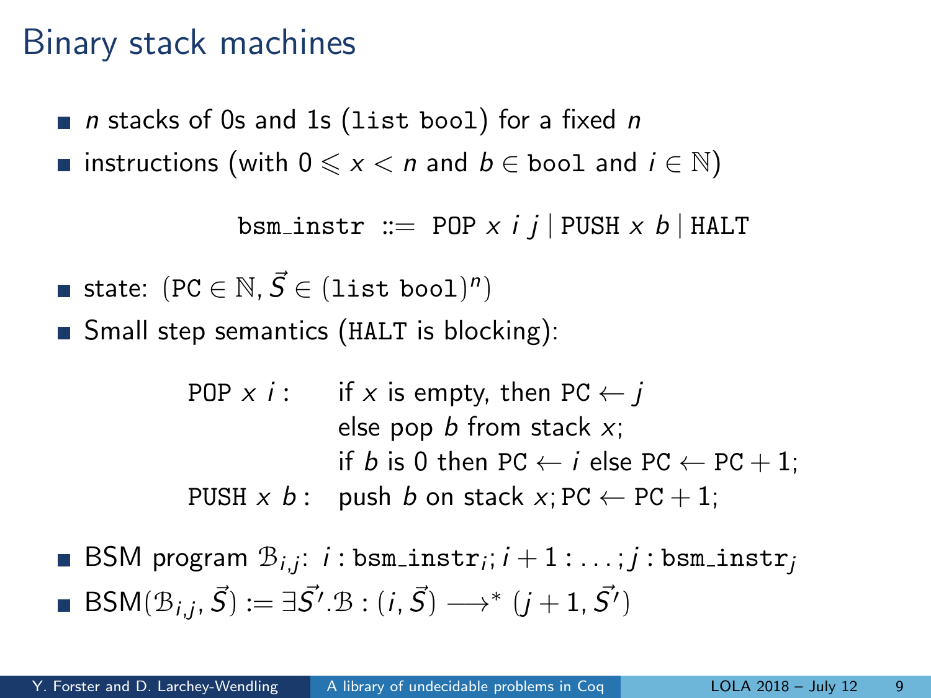#### Binary stack machines

- $\blacksquare$  n stacks of 0s and 1s (list bool) for a fixed n
- **■** instructions (with  $0 \le x < n$  and  $b \in$  bool and  $i \in \mathbb{N}$ )

```
bsm_instr ::= POP x i j | PUSH x b | HALT
```

$$
\blacksquare\;\mathsf{state}\!:\;(\mathtt{PC}\in\mathbb{N},\vec{\mathcal{S}}\in(\mathtt{list}\;\mathtt{bool})^n)
$$

**Small step semantics (HALT is blocking):** 

```
POP x i: if x is empty, then PC \leftarrow ielse pop b from stack x;
               if b is 0 then PC \leftarrow i else PC \leftarrow PC + 1;
PUSH x b: push b on stack x; PC \leftarrow PC + 1;
```
 $\mathsf{BSM}\hspace{0.5pt}$  program  $\mathcal{B}_{i,j}\hspace{0.5pt}$  ;  $i$  :  $\mathsf{bsm\_instr}_j$  ;  $i+1$  :  $\dots$  ;  $j$  :  $\mathsf{bsm\_instr}_j$  $\mathsf{BSM}(\mathcal{B}_{i,j}, \vec{S}) := \exists \vec{S'}. \mathcal{B} : (i, \vec{S}) \longrightarrow^* (j+1, \vec{S'})$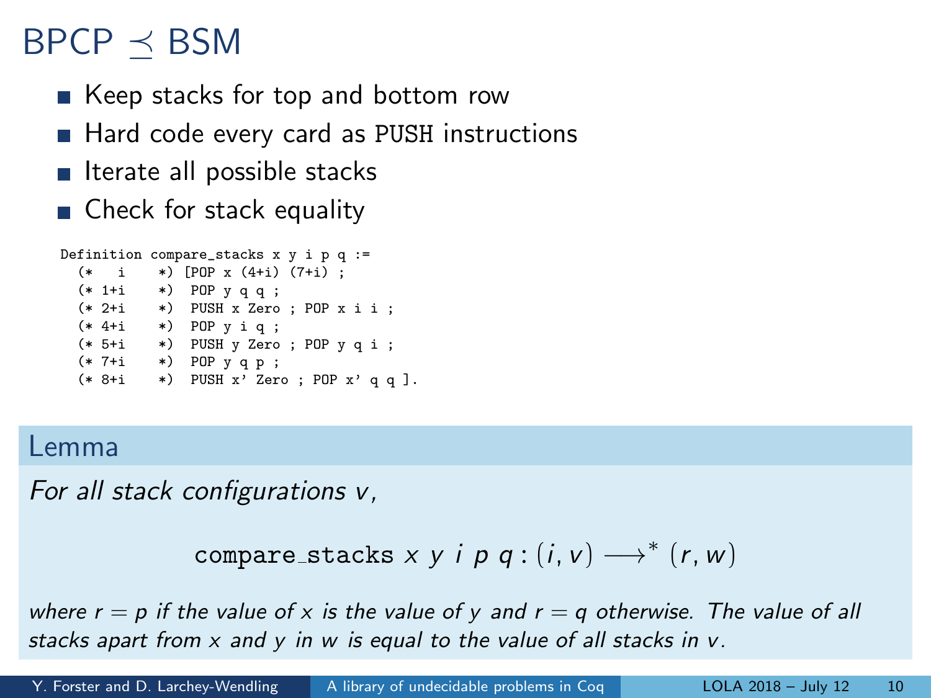## $BPCP \prec BSM$

- Keep stacks for top and bottom row
- Hard code every card as PUSH instructions
- $\blacksquare$  Iterate all possible stacks
- Check for stack equality

```
Definition compare_stacks x y i p q :=
  (* i *) [POP x (4+i) (7+i) ;
  (* 1+i *) POP y q q ;
  (* 2+i *) PUSH x Zero ; POP x i i ;
  (* 4+i *) POP y i q ;
 (* 5+i *) PUSH y Zero ; POP y q i ;
 (* 7+i *) POP y q p ;
 (* 8+i *) PUSH x' Zero ; POP x' q q ].
```
#### Lemma

For all stack configurations v,

```
compare_stacks x y i p q : (i, v) \longrightarrow^* (r, w)
```
where  $r = p$  if the value of x is the value of y and  $r = q$  otherwise. The value of all stacks apart from  $x$  and  $y$  in  $w$  is equal to the value of all stacks in  $v$ .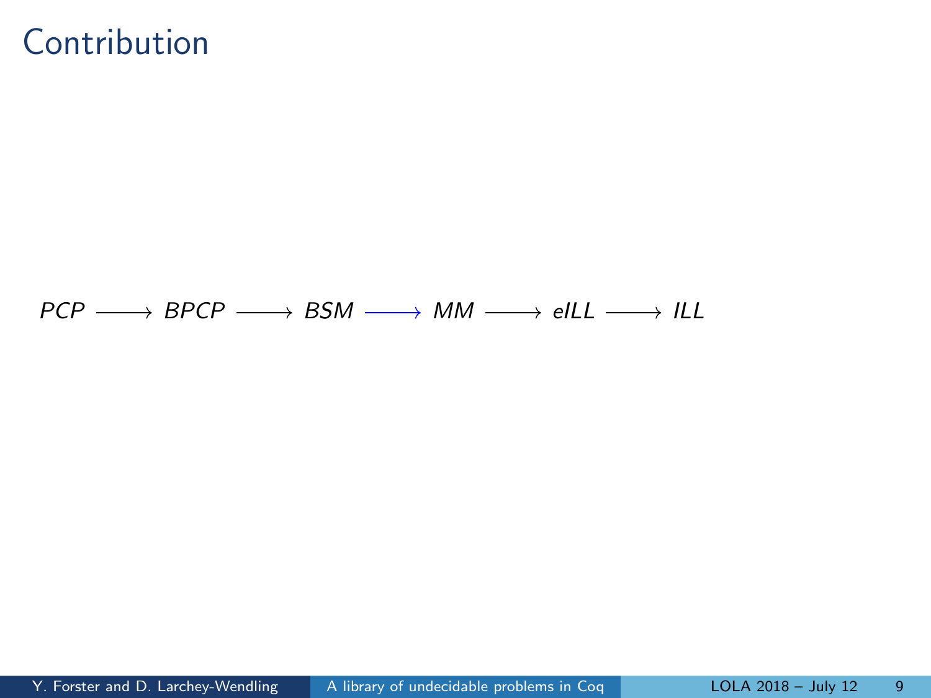#### Contribution

 $PCP \longrightarrow BPCP \longrightarrow BSM \longrightarrow MM \longrightarrow ellL \longrightarrow lLL$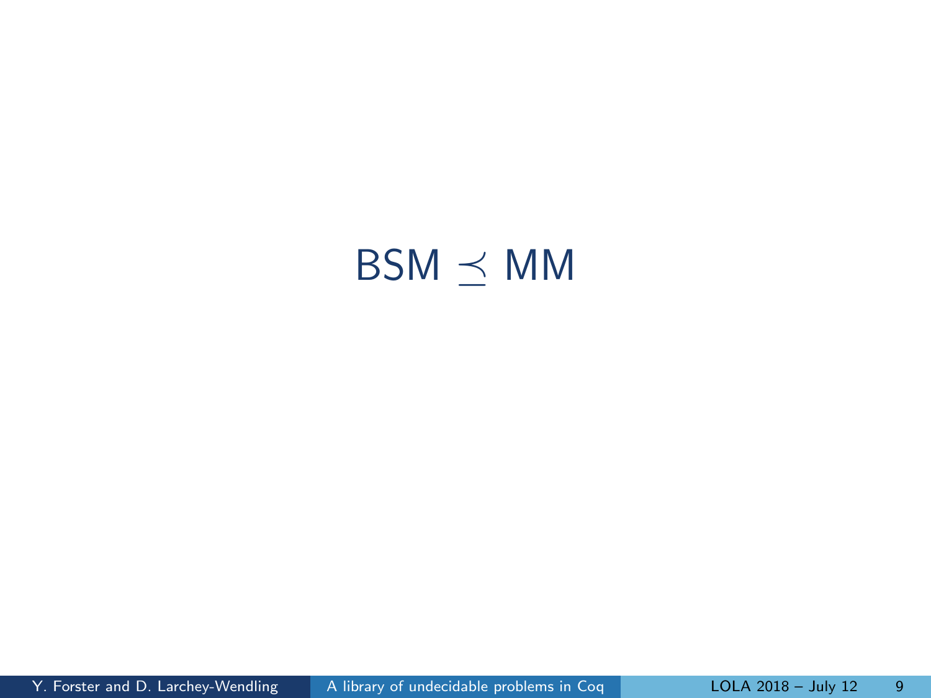## <span id="page-15-0"></span> $BSM \preceq MM$  $BSM \preceq MM$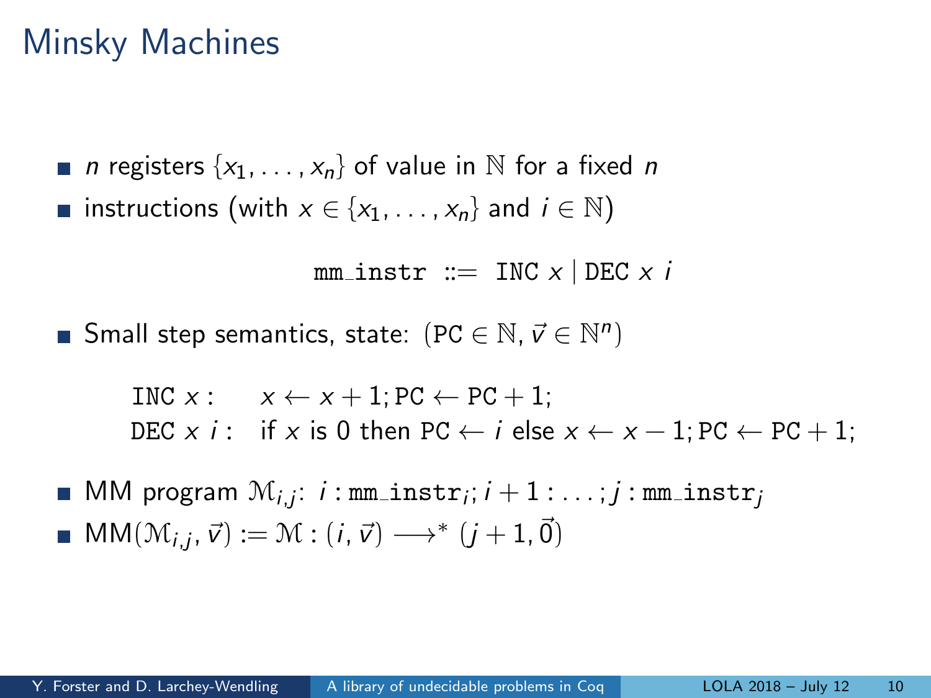### Minsky Machines

**n** registers  $\{x_1, \ldots, x_n\}$  of value in N for a fixed n **■** instructions (with  $x \in \{x_1, ..., x_n\}$  and  $i \in \mathbb{N}$ )

$$
\mathtt{mm\_instr} ::= \text{INC } x \mid \text{DEC } x \text{ } i
$$

Small step semantics, state:  $(PC \in \mathbb{N}, \vec{v} \in \mathbb{N}^n)$ 

$$
\begin{array}{ll}\n\text{INC } x: & x \leftarrow x + 1; \text{PC} \leftarrow \text{PC} + 1; \\
\text{DEC } x \text{ } i: & \text{if } x \text{ is 0 then } \text{PC} \leftarrow i \text{ else } x \leftarrow x - 1; \text{PC} \leftarrow \text{PC} + 1;\n\end{array}
$$

 $\mathsf{MM}$  program  $\mathfrak{M}_{i,j}\!\!: \,i: \mathtt{mm\_instr}_i; i+1: \ldots ; j: \mathtt{mm\_instr}_j$  $MM(\mathcal{M}_{i,j}, \vec{v}) := \mathcal{M} : (i, \vec{v}) \longrightarrow^* (j+1, \vec{0})$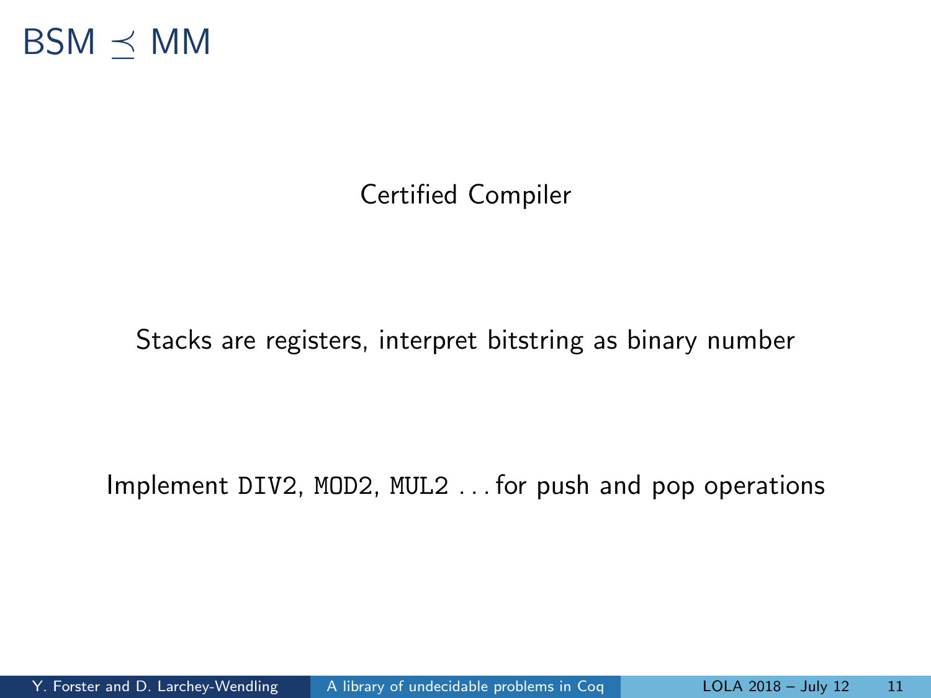

#### Certified Compiler

#### Stacks are registers, interpret bitstring as binary number

Implement DIV2, MOD2, MUL2 . . . for push and pop operations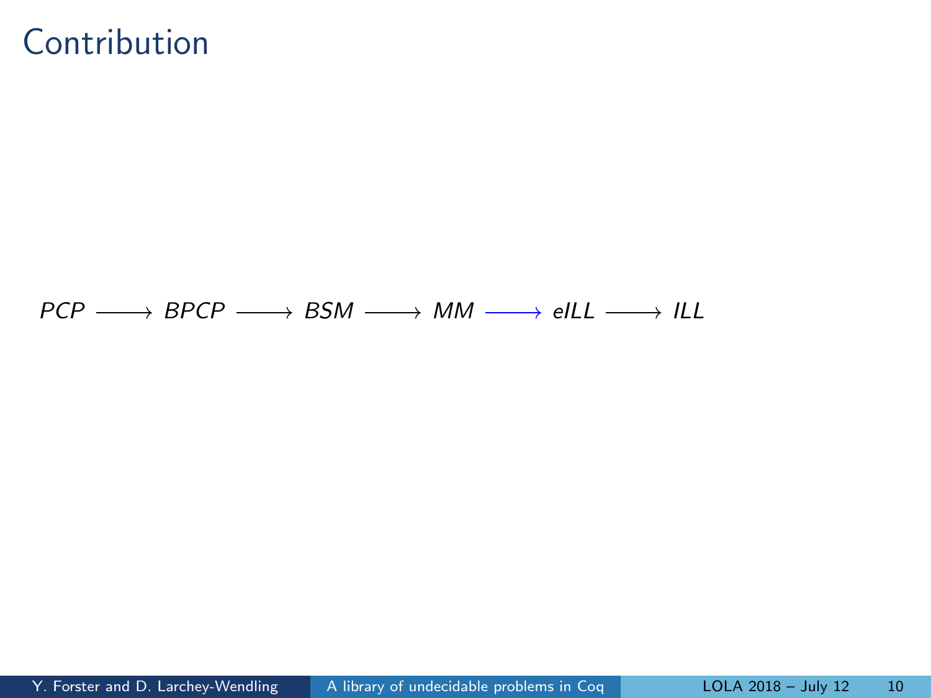#### Contribution

 $PCP \longrightarrow BPCP \longrightarrow BSM \longrightarrow MM \longrightarrow ellL \longrightarrow lLL$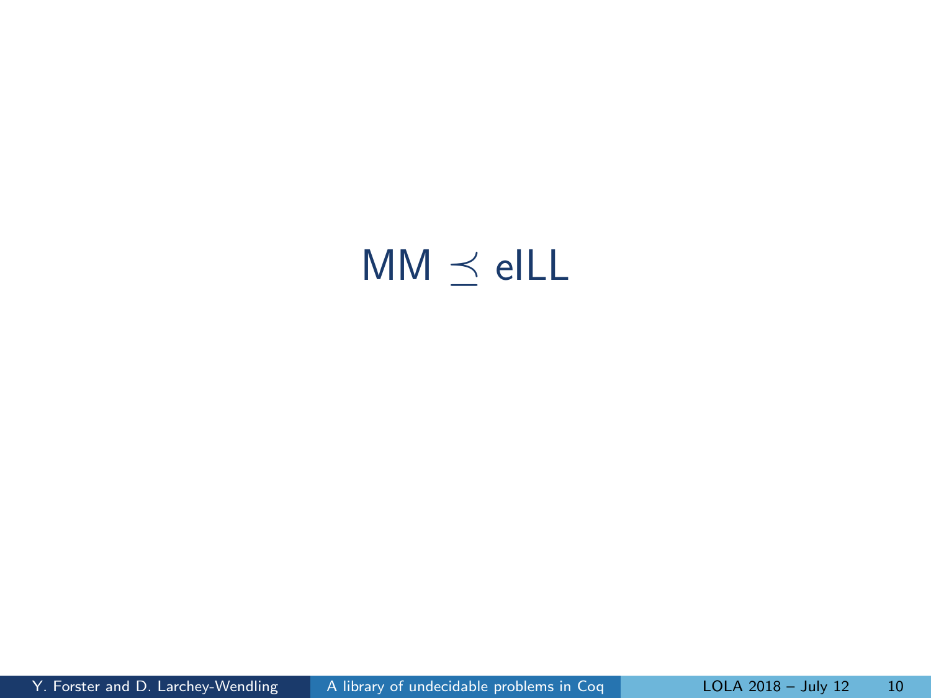# <span id="page-19-0"></span> $MM \preceq$  [eILL](#page-19-0)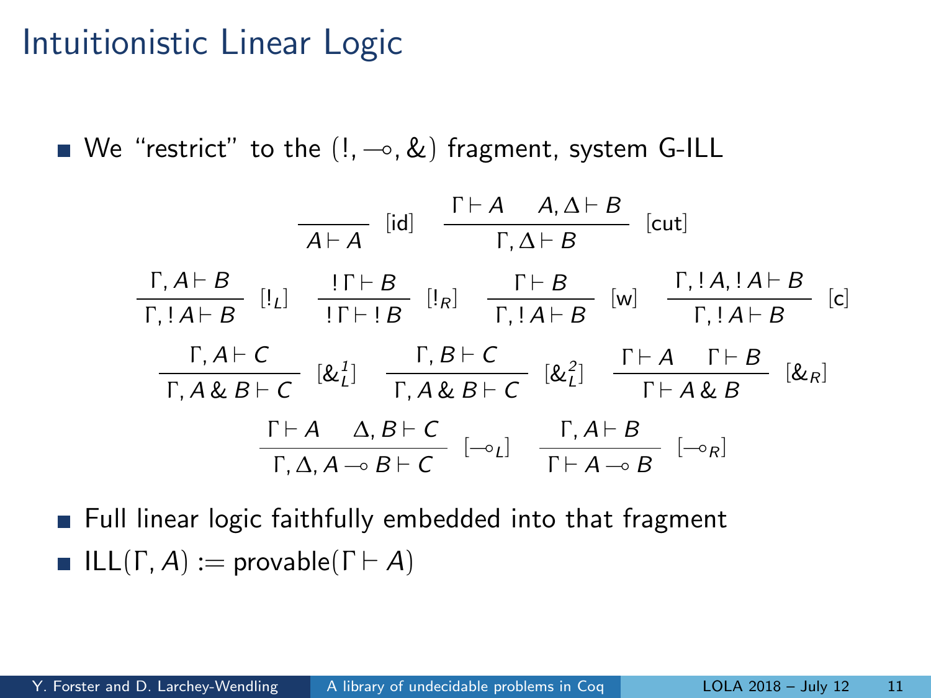#### Intuitionistic Linear Logic

We "restrict" to the  $(1, -0, 2)$  fragment, system G-ILL

$$
\frac{\Gamma, A \vdash B}{\Gamma, 1A \vdash B} \quad [\text{Id}] \quad \frac{\Gamma \vdash A \quad A, \Delta \vdash B}{\Gamma, \Delta \vdash B} \quad [\text{cut}]
$$
\n
$$
\frac{\Gamma, A \vdash B}{\Gamma, 1A \vdash B} \quad [\text{I}_{L}] \quad \frac{\Gamma \vdash B}{\Gamma \vdash B} \quad [\text{I}_{R}] \quad \frac{\Gamma \vdash B}{\Gamma, 1A \vdash B} \quad [\text{w}] \quad \frac{\Gamma, 1A, 1A \vdash B}{\Gamma, 1A \vdash B} \quad [\text{c}]
$$
\n
$$
\frac{\Gamma, A \vdash C}{\Gamma, A \& B \vdash C} \quad [\& \frac{1}{L}] \quad \frac{\Gamma, B \vdash C}{\Gamma, A \& B \vdash C} \quad [\& \frac{2}{L}] \quad \frac{\Gamma \vdash A \quad \Gamma \vdash B}{\Gamma \vdash A \& B} \quad [\& R] \quad [\& R] \quad \frac{\Gamma, A \vdash B}{\Gamma \vdash A \& B} \quad [\& R] \quad \frac{\Gamma, A \vdash B}{\Gamma, \Delta, A \multimap B \vdash C} \quad [-\circ_L] \quad \frac{\Gamma, A \vdash B}{\Gamma \vdash A \multimap B} \quad [-\circ_R]
$$

**Full linear logic faithfully embedded into that fragment ILL(Γ, A) := provable(Γ** $\vdash$  A)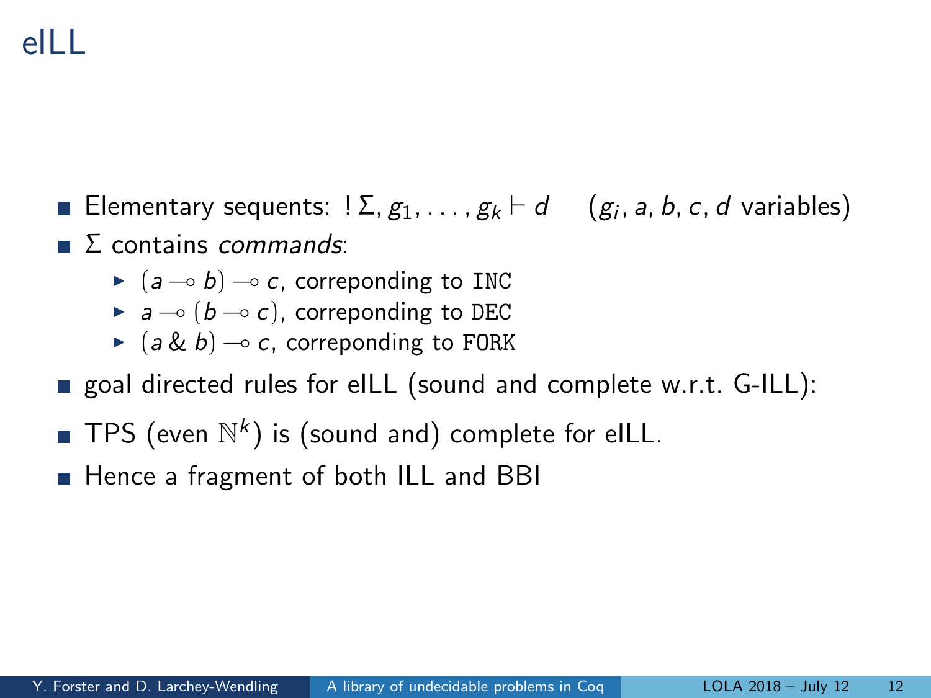## eILL

- Elementary sequents: ! $\Sigma, g_1, \ldots, g_k \vdash d \quad \left( g_i,$  a, b, c,  $d$  variables)
- $\Gamma$  Σ contains *commands*:
	- $\blacktriangleright$   $(a \rightarrow b) \rightarrow c$ , correponding to INC
	- $\blacktriangleright$  a  $\multimap$  (b  $\multimap$  c), correponding to DEC
	- $\triangleright$  (a & b)  $\multimap$  c, correponding to FORK
- goal directed rules for eILL (sound and complete w.r.t. G-ILL):
- TPS (even  $\mathbb{N}^k$ ) is (sound and) complete for eILL.
- **Hence a fragment of both ILL and BBI**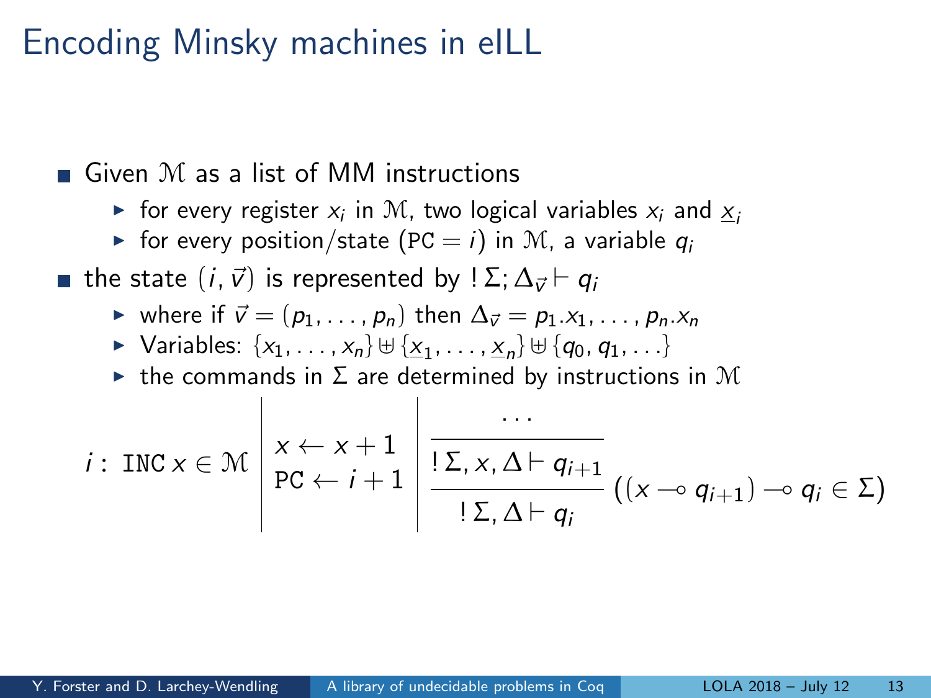#### Encoding Minsky machines in eILL

 $\blacksquare$  Given M as a list of MM instructions

- $\blacktriangleright$  for every register  $x_i$  in  $\mathcal M$ , two logical variables  $x_i$  and  $\underline{x}_i$
- ► for every position/state (PC = i) in M, a variable  $q_i$

**■** the state  $(i, \vec{v})$  is represented by  $\sum_i \Delta_{\vec{v}}$   $\vdash$   $q_i$ 

- $\triangleright$  where if  $\vec{v} = (p_1, \ldots, p_n)$  then  $\Delta_{\vec{v}} = p_1.x_1, \ldots, p_n.x_n$
- $\triangleright$  Variables:  $\{x_1, \ldots, x_n\} \cup \{\underline{x}_1, \ldots, \underline{x}_n\} \cup \{q_0, q_1, \ldots\}$
- $\triangleright$  the commands in  $\Sigma$  are determined by instructions in M

$$
i: \text{INC } x \in \mathcal{M} \left| \begin{array}{l} x \leftarrow x + 1 \\ \text{PC } \leftarrow i + 1 \end{array} \right| \frac{\cdots}{\frac{|\Sigma_{i} x, \Delta \vdash q_{i+1}|}{|\Sigma_{i} \Delta \vdash q_{i}|}} ((x \neg o q_{i+1}) \neg o q_{i} \in \Sigma)
$$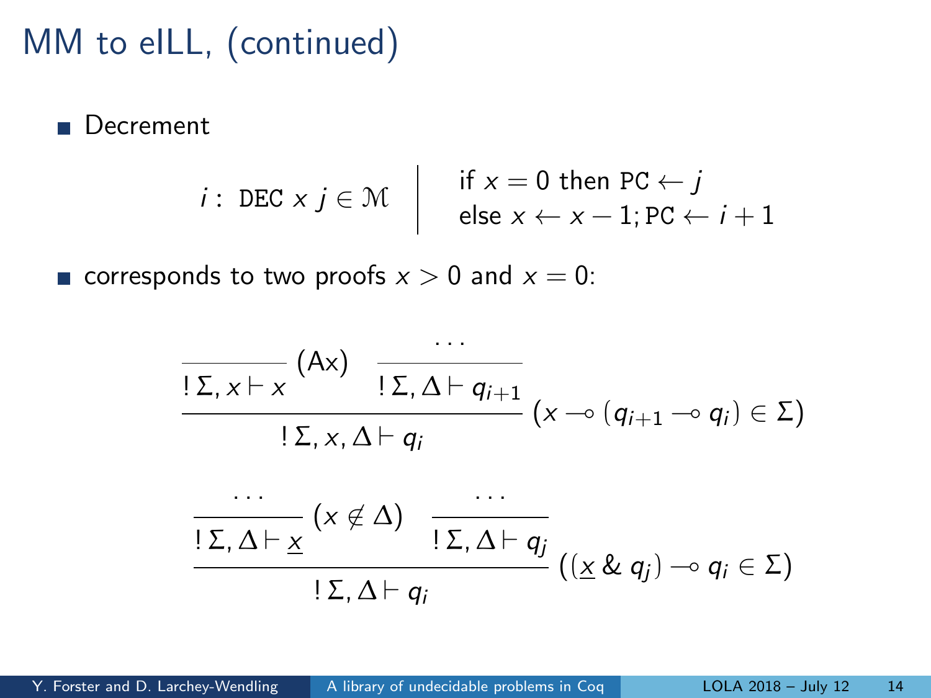### MM to eILL, (continued)

Decrement

*i*: DEC 
$$
x j \in M
$$
 | if  $x = 0$  then PC  $\leftarrow j$   
else  $x \leftarrow x - 1$ ; PC  $\leftarrow i + 1$ 

corresponds to two proofs  $x > 0$  and  $x = 0$ :

$$
\frac{\Gamma\Sigma, x \vdash x \quad (\mathsf{A}x) \quad \frac{\cdots}{\Gamma\Sigma, \Delta \vdash q_{i+1}}}{\Gamma\Sigma, x, \Delta \vdash q_i} (x \multimap (q_{i+1} \multimap q_i) \in \Sigma)
$$

$$
\frac{\cdots}{\underline{\Sigma,\Delta\vdash \underline{x}}}(x\notin \Delta)\quad \frac{\cdots}{\underline{\Sigma,\Delta\vdash q_j}}(\underline{x\&q_j})\rightarrow q_i\in \Sigma)
$$
  
 
$$
\underline{\Sigma,\Delta\vdash q_i}
$$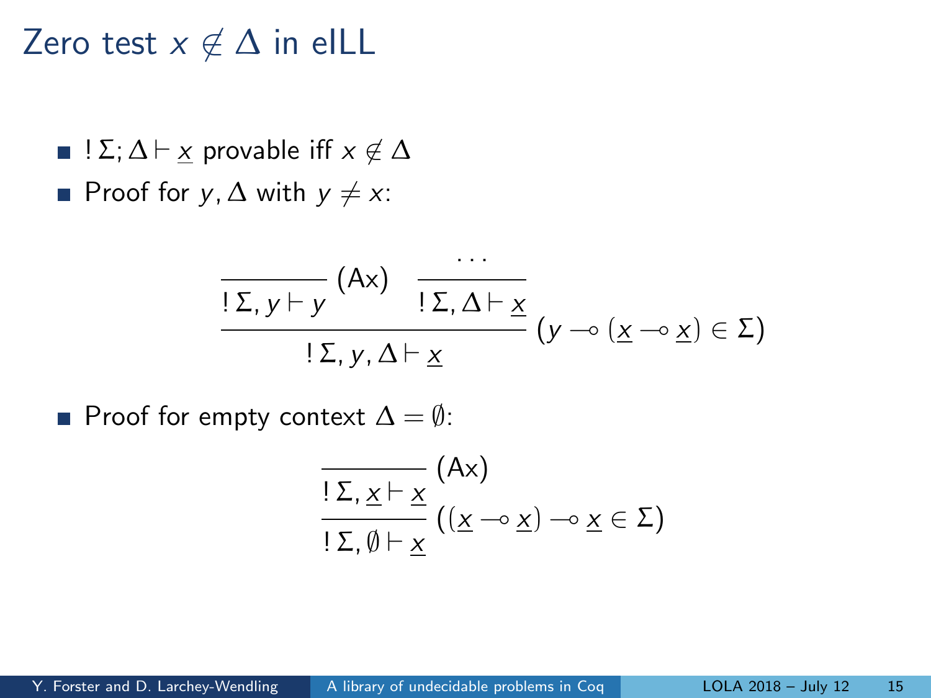Zero test  $x \notin \Delta$  in eILL

- $\blacksquare$  ! Σ; Δ  $\vdash$   $\times$  provable iff  $x \not\in \Delta$
- **■** Proof for  $y, \Delta$  with  $y \neq x$ :

$$
\frac{\Gamma\Sigma, y \vdash y \quad (\mathsf{A}\mathsf{x}) \quad \frac{\ldots}{\Gamma\Sigma, \Delta \vdash \underline{x}}}{\Gamma\Sigma, y, \Delta \vdash \underline{x}} (y \multimap (\underline{x} \multimap \underline{x}) \in \Sigma)
$$

**Proof for empty context**  $\Delta = \emptyset$ :

$$
\frac{\overline{Z \cdot X \vdash X}}{\underline{Z \cdot X \vdash X}} \left( \underline{A} \times \underline{X} \right) \negthinspace \negthinspace \negthinspace \negthinspace \negthinspace \negthinspace \negthinspace \negthinspace \underline{X} \in \Sigma
$$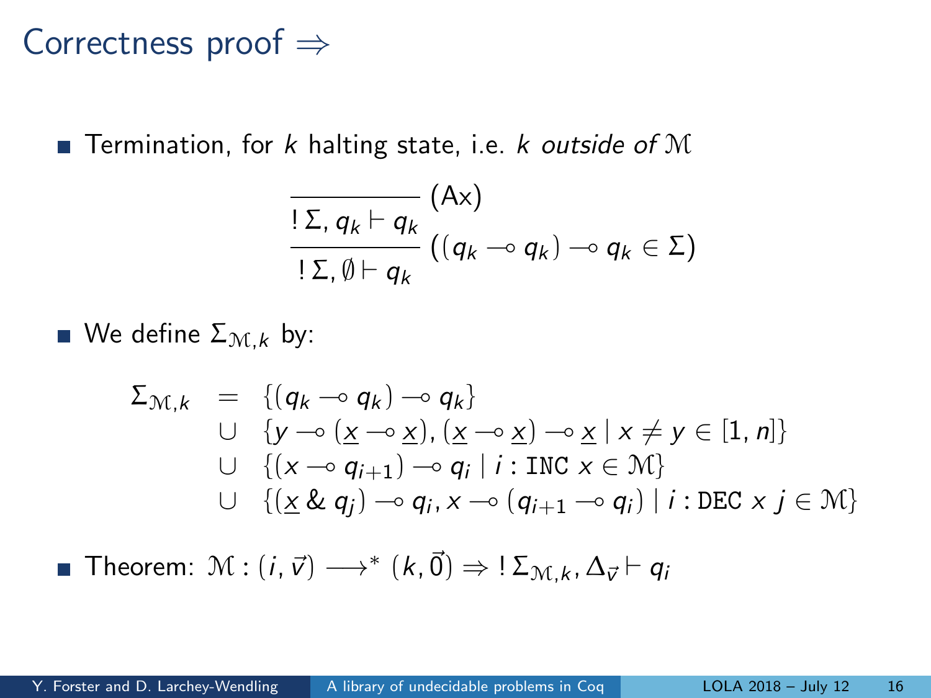#### Correctness proof ⇒

**Termination, for k halting state, i.e. k outside of M** 

$$
\frac{\overline{Z}_{n}q_{k}+q_{k}}{|\Sigma_{n}\emptyset+q_{k}}((q_{k}-q_{k})-q_{k}\in\Sigma)
$$

We define  $\Sigma_{\mathcal{M},k}$  by:

$$
\Sigma_{\mathcal{M},k} = \{ (q_k \sim q_k) \sim q_k \}
$$
\n
$$
\cup \{ y \sim (\underline{x} \sim \underline{x}), (\underline{x} \sim \underline{x}) \sim \underline{x} \mid x \neq y \in [1, n] \}
$$
\n
$$
\cup \{ (x \sim q_{i+1}) \sim q_i \mid i : \text{INC } x \in \mathcal{M} \}
$$
\n
$$
\cup \{ (\underline{x} \& q_j) \sim q_i, x \sim (q_{i+1} \sim q_i) \mid i : \text{DEC } x j \in \mathcal{M} \}
$$

Theorem:  $\mathcal{M}:(i,\vec{v})\longrightarrow^*(k,\vec{0})\Rightarrow !\mathcal{\Sigma}_{\mathcal{M},k}$ ,  $\Delta_{\vec{v}}\vdash q_i$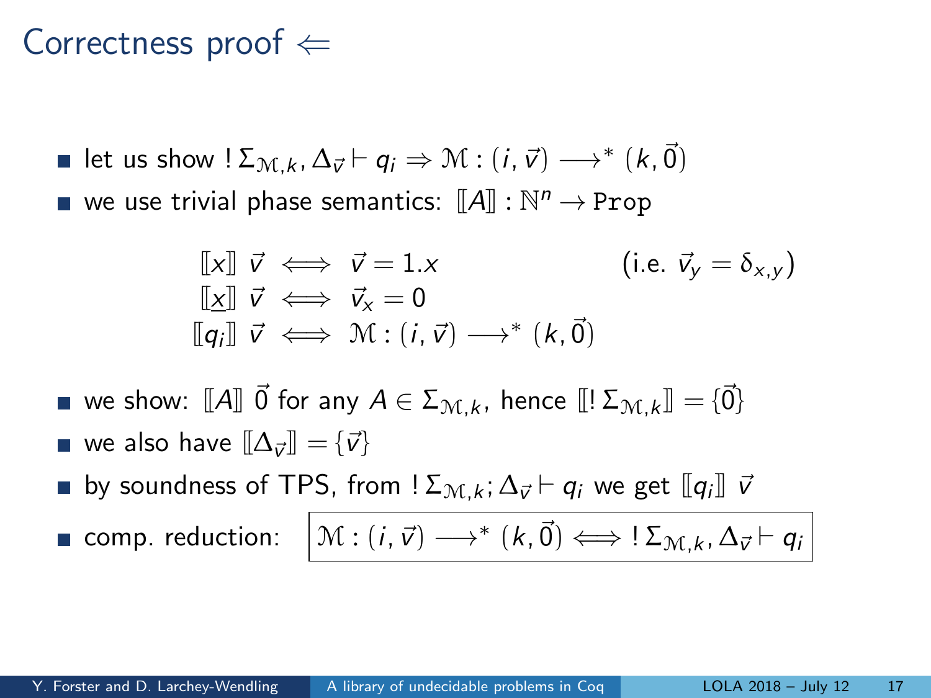#### Correctness proof  $\Leftarrow$

\n- let us show 
$$
! \Sigma_{\mathcal{M},k}
$$
,  $\Delta_{\vec{v}} \vdash q_i \Rightarrow \mathcal{M} : (i, \vec{v}) \longrightarrow^* (k, \vec{0})$
\n- we use trivial phase semantics:  $[\![A]\!]$  :  $\mathbb{N}^n \rightarrow \text{Prop}$
\n

$$
\begin{array}{lll}\n\llbracket x \rrbracket & \vec{v} \iff \vec{v} = 1.x & \text{(i.e. } \vec{v}_y = \delta_{x,y}) \\
\llbracket x \rrbracket & \vec{v} \iff \vec{v}_x = 0 & \text{(i.e. } \vec{v}_y = \delta_{x,y}) \\
\llbracket q_i \rrbracket & \vec{v} \iff \mathcal{M} : (i, \vec{v}) \longrightarrow^* (k, \vec{0})\n\end{array}
$$

we show:  $\llbracket A \rrbracket \vec{0}$  for any  $A \in \Sigma_{\mathcal{M},k}$ , hence  $\llbracket \Sigma_{\mathcal{M},k} \rrbracket = \{\vec{0}\}\$ we also have  $[\![\Delta_{\vec{{\scriptscriptstyle V}}}\!]\!] = \{\vec{{\scriptscriptstyle V}}\}$ by soundness of TPS, from ! $\Sigma_{\mathcal{M},k} ; \Delta_{\vec{v}} \vdash q_i$  we get  $[\![q_i]\!]$   $\vec{v}$ comp. reduction:  $\begin{bmatrix} \mathcal{M}:(i,\vec{v})\longrightarrow^{*}(k,\vec{0})\Longleftrightarrow \:!\Sigma_{\mathcal{M},k},\Delta_{\vec{v}}\vdash q_{i}\end{bmatrix}$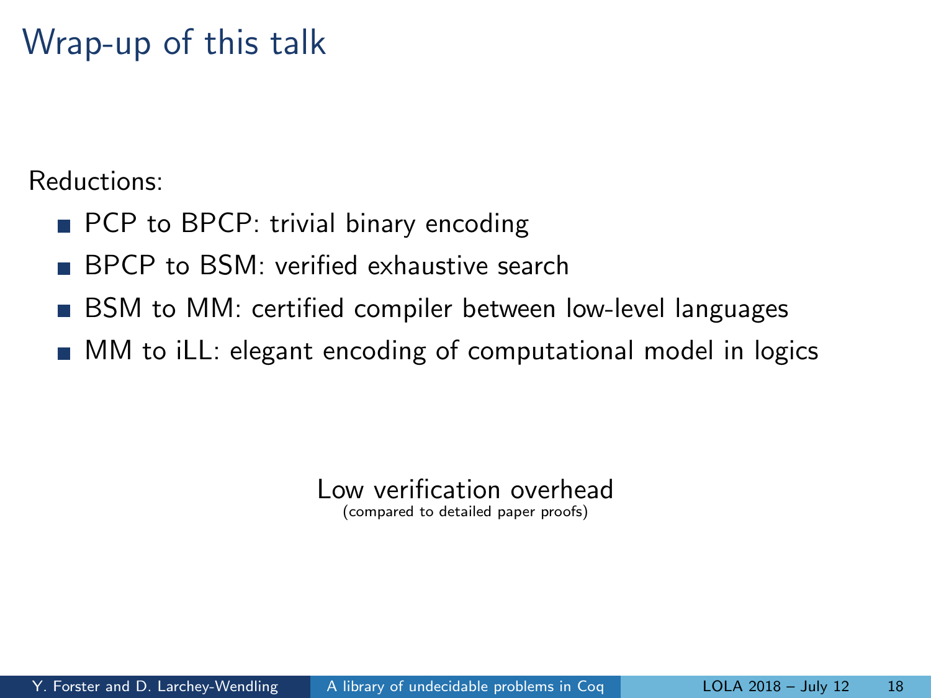### Wrap-up of this talk

Reductions:

- **PCP** to BPCP: trivial binary encoding
- BPCP to BSM: verified exhaustive search
- BSM to MM: certified compiler between low-level languages  $\sim$
- **MM** to iLL: elegant encoding of computational model in logics

Low verification overhead

(compared to detailed paper proofs)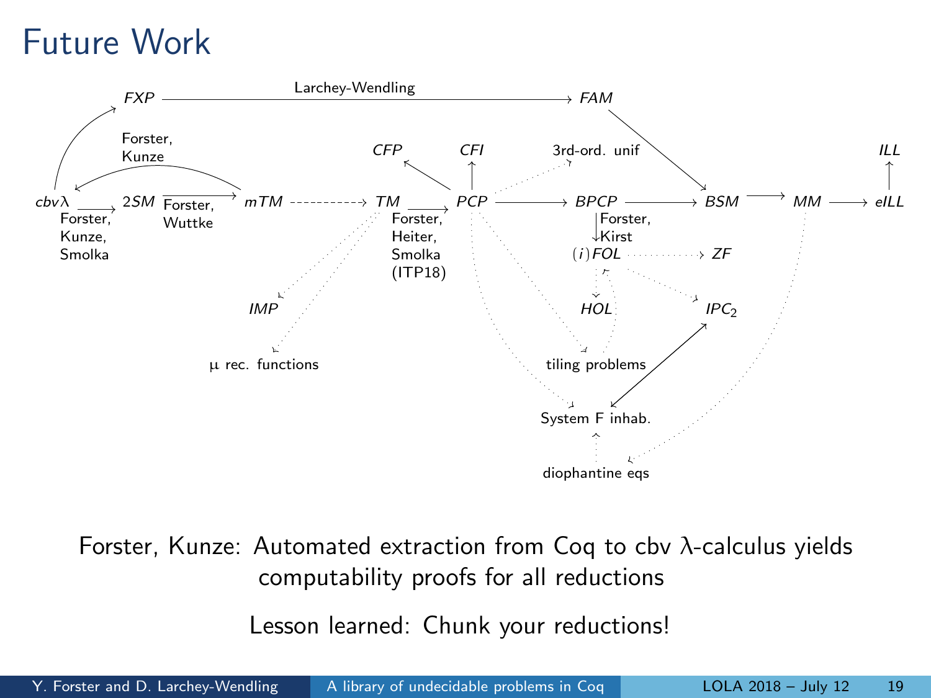## Future Work



Forster, Kunze: Automated extraction from Coq to cbv λ-calculus yields computability proofs for all reductions

Lesson learned: Chunk your reductions!